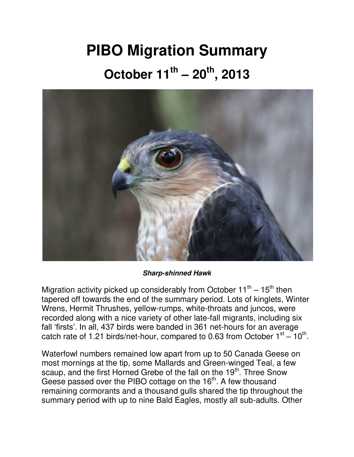## **PIBO Migration Summary October 11th – 20th, 2013**



*Sharp-shinned Hawk*

Migration activity picked up considerably from October 11<sup>th</sup> – 15<sup>th</sup> then tapered off towards the end of the summary period. Lots of kinglets, Winter Wrens, Hermit Thrushes, yellow-rumps, white-throats and juncos, were recorded along with a nice variety of other late-fall migrants, including six fall 'firsts'. In all, 437 birds were banded in 361 net-hours for an average catch rate of 1.21 birds/net-hour, compared to 0.63 from October  $1<sup>st</sup> - 10<sup>th</sup>$ .

Waterfowl numbers remained low apart from up to 50 Canada Geese on most mornings at the tip, some Mallards and Green-winged Teal, a few scaup, and the first Horned Grebe of the fall on the 19<sup>th</sup>. Three Snow Geese passed over the PIBO cottage on the 16<sup>th</sup>. A few thousand remaining cormorants and a thousand gulls shared the tip throughout the summary period with up to nine Bald Eagles, mostly all sub-adults. Other